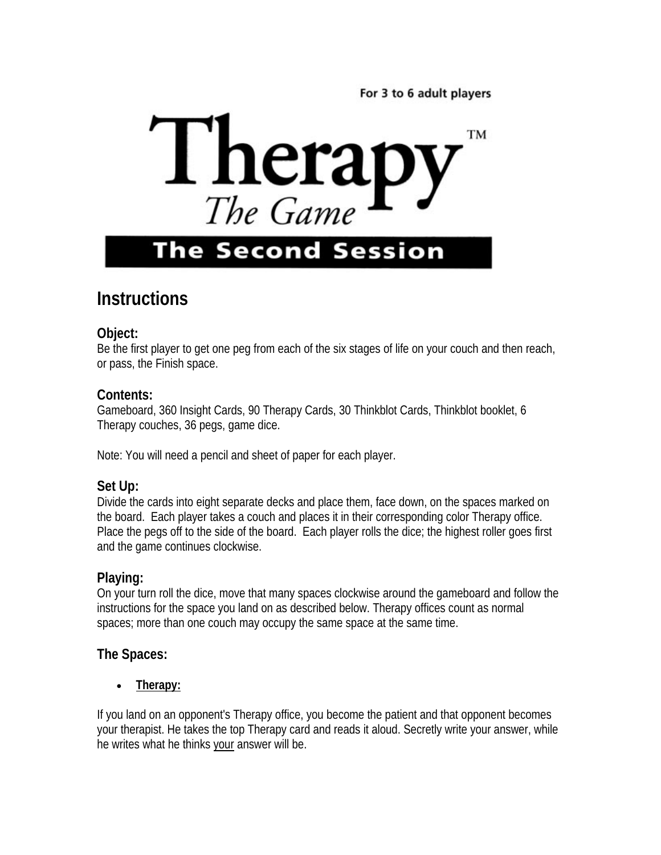For 3 to 6 adult players



# **The Second Session**

# **Instructions**

#### **Object:**

Be the first player to get one peg from each of the six stages of life on your couch and then reach, or pass, the Finish space.

#### **Contents:**

Gameboard, 360 Insight Cards, 90 Therapy Cards, 30 Thinkblot Cards, Thinkblot booklet, 6 Therapy couches, 36 pegs, game dice.

Note: You will need a pencil and sheet of paper for each player.

#### **Set Up:**

Divide the cards into eight separate decks and place them, face down, on the spaces marked on the board. Each player takes a couch and places it in their corresponding color Therapy office. Place the pegs off to the side of the board. Each player rolls the dice; the highest roller goes first and the game continues clockwise.

#### **Playing:**

On your turn roll the dice, move that many spaces clockwise around the gameboard and follow the instructions for the space you land on as described below. Therapy offices count as normal spaces; more than one couch may occupy the same space at the same time.

# **The Spaces:**

• **Therapy:**

If you land on an opponent's Therapy office, you become the patient and that opponent becomes your therapist. He takes the top Therapy card and reads it aloud. Secretly write your answer, while he writes what he thinks your answer will be.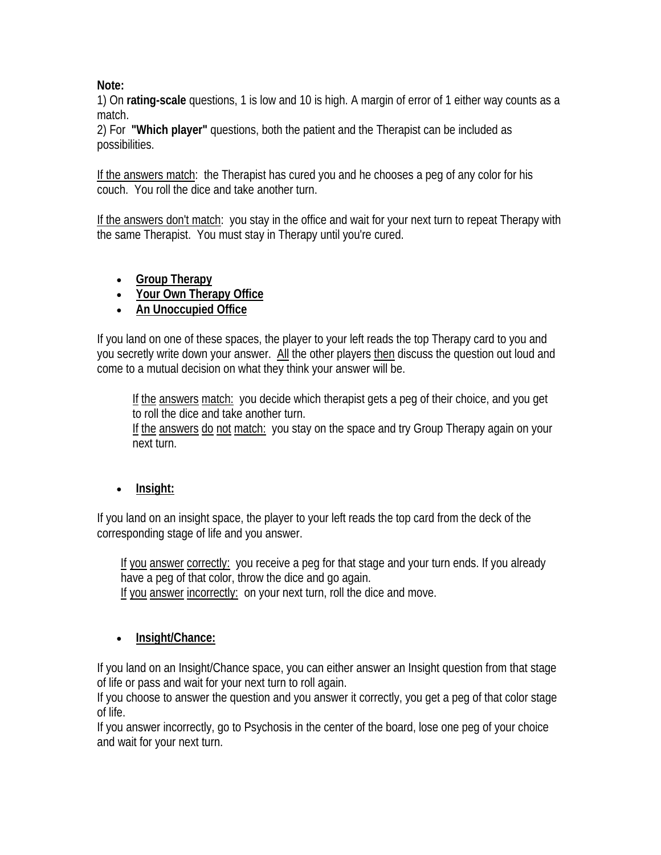#### **Note:**

1) On **rating-scale** questions, 1 is low and 10 is high. A margin of error of 1 either way counts as a match.

2) For **"Which player"** questions, both the patient and the Therapist can be included as possibilities.

If the answers match: the Therapist has cured you and he chooses a peg of any color for his couch. You roll the dice and take another turn.

If the answers don't match: you stay in the office and wait for your next turn to repeat Therapy with the same Therapist. You must stay in Therapy until you're cured.

- **Group Therapy**
- **Your Own Therapy Office**
- **An Unoccupied Office**

If you land on one of these spaces, the player to your left reads the top Therapy card to you and you secretly write down your answer. All the other players then discuss the question out loud and come to a mutual decision on what they think your answer will be.

 If the answers match: you decide which therapist gets a peg of their choice, and you get to roll the dice and take another turn.

 If the answers do not match: you stay on the space and try Group Therapy again on your next turn.

# • **Insight:**

If you land on an insight space, the player to your left reads the top card from the deck of the corresponding stage of life and you answer.

If you answer correctly: you receive a peg for that stage and your turn ends. If you already have a peg of that color, throw the dice and go again.

If you answer incorrectly: on your next turn, roll the dice and move.

# • **Insight/Chance:**

If you land on an Insight/Chance space, you can either answer an Insight question from that stage of life or pass and wait for your next turn to roll again.

If you choose to answer the question and you answer it correctly, you get a peg of that color stage of life.

If you answer incorrectly, go to Psychosis in the center of the board, lose one peg of your choice and wait for your next turn.